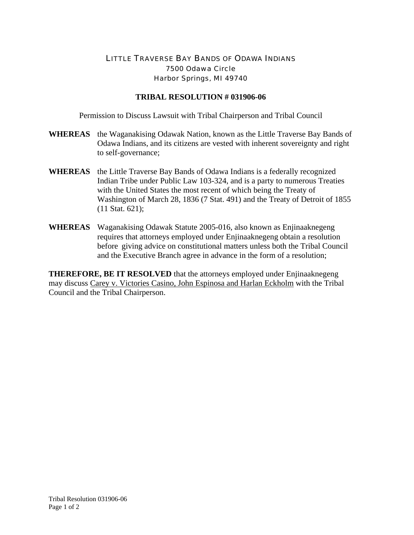## LITTLE TRAVERSE BAY BANDS OF ODAWA INDIANS 7500 Odawa Circle Harbor Springs, MI 49740

## **TRIBAL RESOLUTION # 031906-06**

Permission to Discuss Lawsuit with Tribal Chairperson and Tribal Council

- **WHEREAS** the Waganakising Odawak Nation, known as the Little Traverse Bay Bands of Odawa Indians, and its citizens are vested with inherent sovereignty and right to self-governance;
- **WHEREAS** the Little Traverse Bay Bands of Odawa Indians is a federally recognized Indian Tribe under Public Law 103-324, and is a party to numerous Treaties with the United States the most recent of which being the Treaty of Washington of March 28, 1836 (7 Stat. 491) and the Treaty of Detroit of 1855 (11 Stat. 621);
- **WHEREAS** Waganakising Odawak Statute 2005-016, also known as Enjinaaknegeng requires that attorneys employed under Enjinaaknegeng obtain a resolution before giving advice on constitutional matters unless both the Tribal Council and the Executive Branch agree in advance in the form of a resolution;

**THEREFORE, BE IT RESOLVED** that the attorneys employed under Enjinaaknegeng may discuss Carey v. Victories Casino, John Espinosa and Harlan Eckholm with the Tribal Council and the Tribal Chairperson.